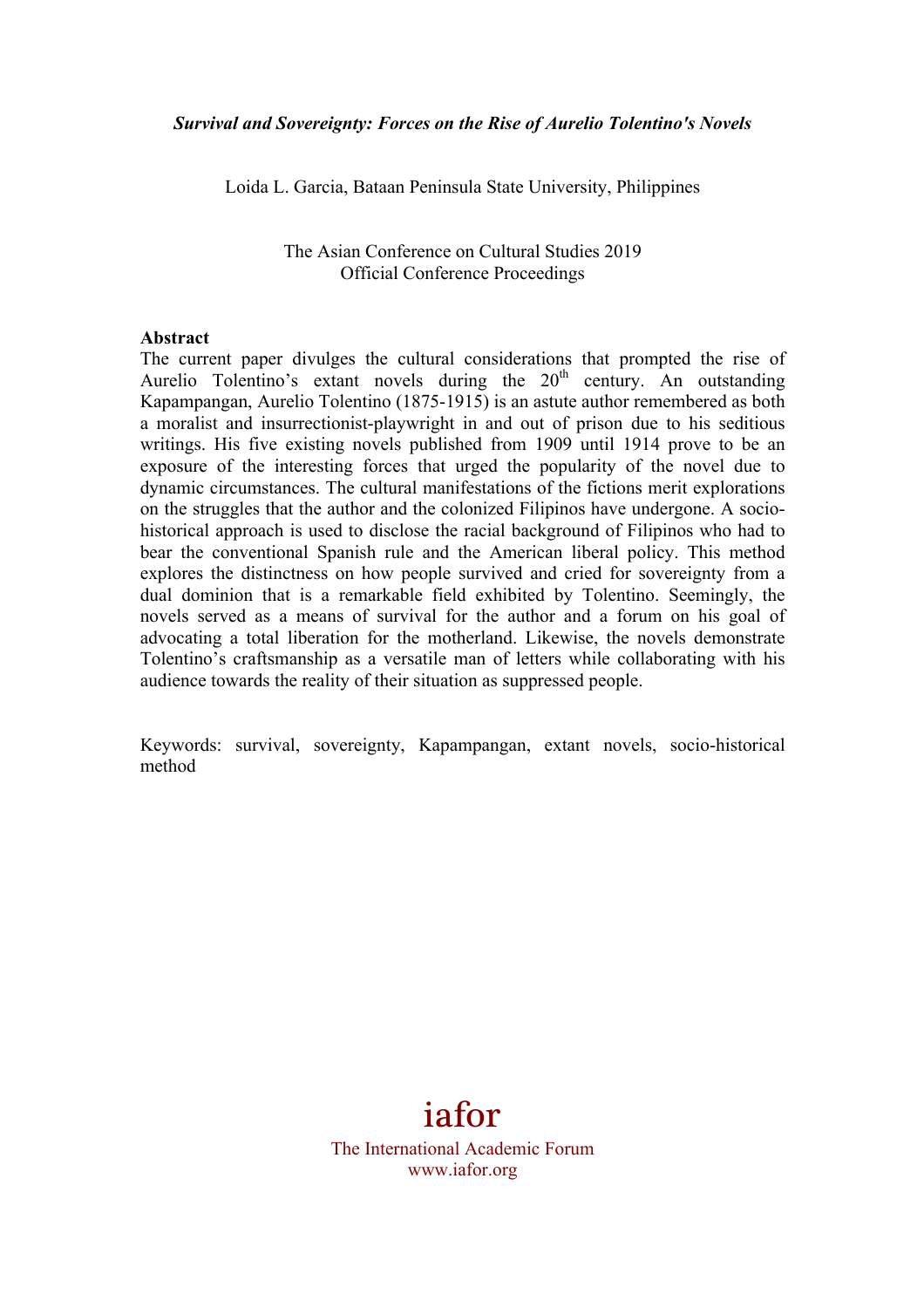Loida L. Garcia, Bataan Peninsula State University, Philippines

The Asian Conference on Cultural Studies 2019 Official Conference Proceedings

#### **Abstract**

The current paper divulges the cultural considerations that prompted the rise of Aurelio Tolentino's extant novels during the  $20<sup>th</sup>$  century. An outstanding Kapampangan, Aurelio Tolentino (1875-1915) is an astute author remembered as both a moralist and insurrectionist-playwright in and out of prison due to his seditious writings. His five existing novels published from 1909 until 1914 prove to be an exposure of the interesting forces that urged the popularity of the novel due to dynamic circumstances. The cultural manifestations of the fictions merit explorations on the struggles that the author and the colonized Filipinos have undergone. A sociohistorical approach is used to disclose the racial background of Filipinos who had to bear the conventional Spanish rule and the American liberal policy. This method explores the distinctness on how people survived and cried for sovereignty from a dual dominion that is a remarkable field exhibited by Tolentino. Seemingly, the novels served as a means of survival for the author and a forum on his goal of advocating a total liberation for the motherland. Likewise, the novels demonstrate Tolentino's craftsmanship as a versatile man of letters while collaborating with his audience towards the reality of their situation as suppressed people.

Keywords: survival, sovereignty, Kapampangan, extant novels, socio-historical method

# iafor

The International Academic Forum www.iafor.org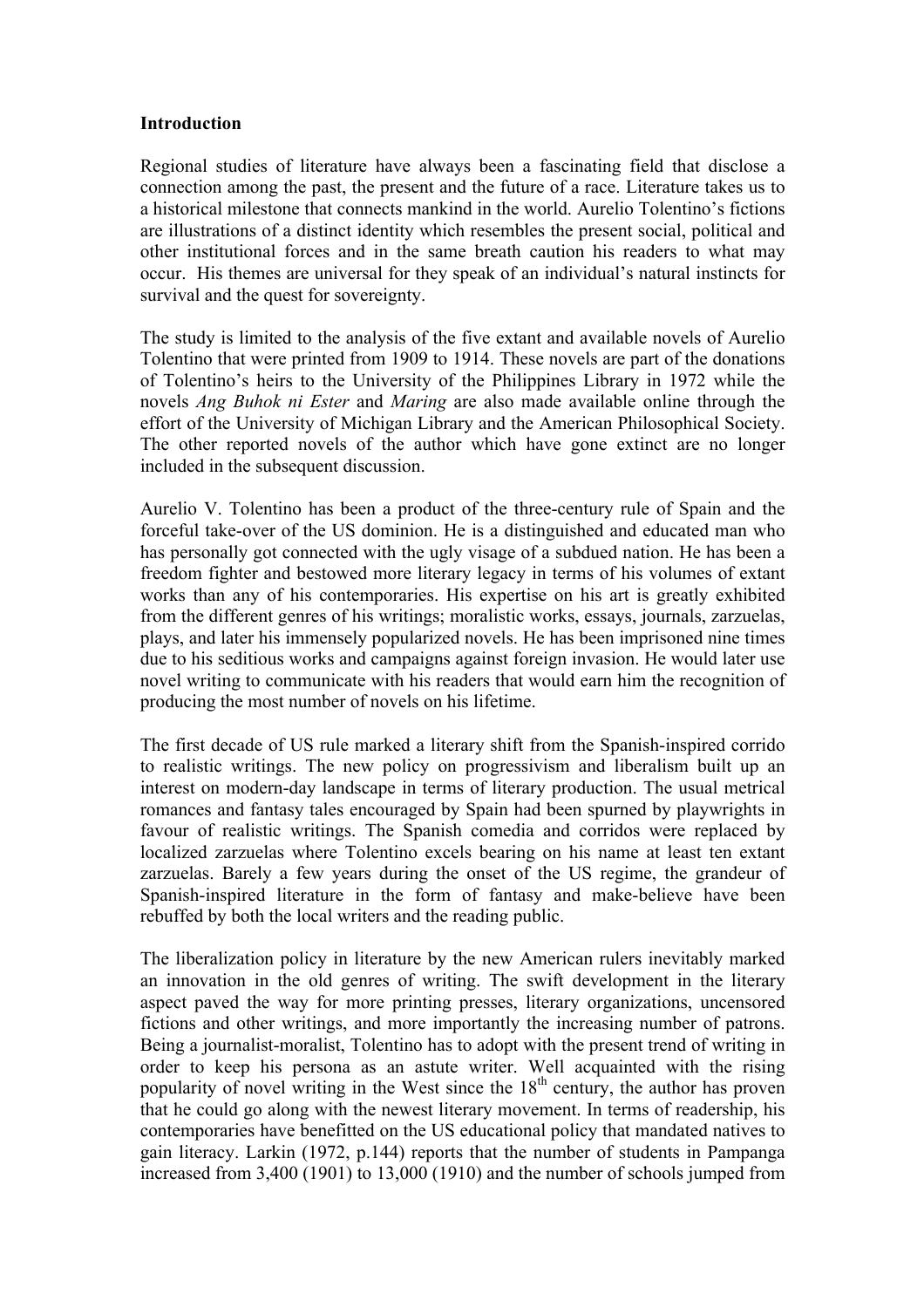#### **Introduction**

Regional studies of literature have always been a fascinating field that disclose a connection among the past, the present and the future of a race. Literature takes us to a historical milestone that connects mankind in the world. Aurelio Tolentino's fictions are illustrations of a distinct identity which resembles the present social, political and other institutional forces and in the same breath caution his readers to what may occur. His themes are universal for they speak of an individual's natural instincts for survival and the quest for sovereignty.

The study is limited to the analysis of the five extant and available novels of Aurelio Tolentino that were printed from 1909 to 1914. These novels are part of the donations of Tolentino's heirs to the University of the Philippines Library in 1972 while the novels *Ang Buhok ni Ester* and *Maring* are also made available online through the effort of the University of Michigan Library and the American Philosophical Society. The other reported novels of the author which have gone extinct are no longer included in the subsequent discussion.

Aurelio V. Tolentino has been a product of the three-century rule of Spain and the forceful take-over of the US dominion. He is a distinguished and educated man who has personally got connected with the ugly visage of a subdued nation. He has been a freedom fighter and bestowed more literary legacy in terms of his volumes of extant works than any of his contemporaries. His expertise on his art is greatly exhibited from the different genres of his writings; moralistic works, essays, journals, zarzuelas, plays, and later his immensely popularized novels. He has been imprisoned nine times due to his seditious works and campaigns against foreign invasion. He would later use novel writing to communicate with his readers that would earn him the recognition of producing the most number of novels on his lifetime.

The first decade of US rule marked a literary shift from the Spanish-inspired corrido to realistic writings. The new policy on progressivism and liberalism built up an interest on modern-day landscape in terms of literary production. The usual metrical romances and fantasy tales encouraged by Spain had been spurned by playwrights in favour of realistic writings. The Spanish comedia and corridos were replaced by localized zarzuelas where Tolentino excels bearing on his name at least ten extant zarzuelas. Barely a few years during the onset of the US regime, the grandeur of Spanish-inspired literature in the form of fantasy and make-believe have been rebuffed by both the local writers and the reading public.

The liberalization policy in literature by the new American rulers inevitably marked an innovation in the old genres of writing. The swift development in the literary aspect paved the way for more printing presses, literary organizations, uncensored fictions and other writings, and more importantly the increasing number of patrons. Being a journalist-moralist, Tolentino has to adopt with the present trend of writing in order to keep his persona as an astute writer. Well acquainted with the rising popularity of novel writing in the West since the  $18<sup>th</sup>$  century, the author has proven that he could go along with the newest literary movement. In terms of readership, his contemporaries have benefitted on the US educational policy that mandated natives to gain literacy. Larkin (1972, p.144) reports that the number of students in Pampanga increased from 3,400 (1901) to 13,000 (1910) and the number of schools jumped from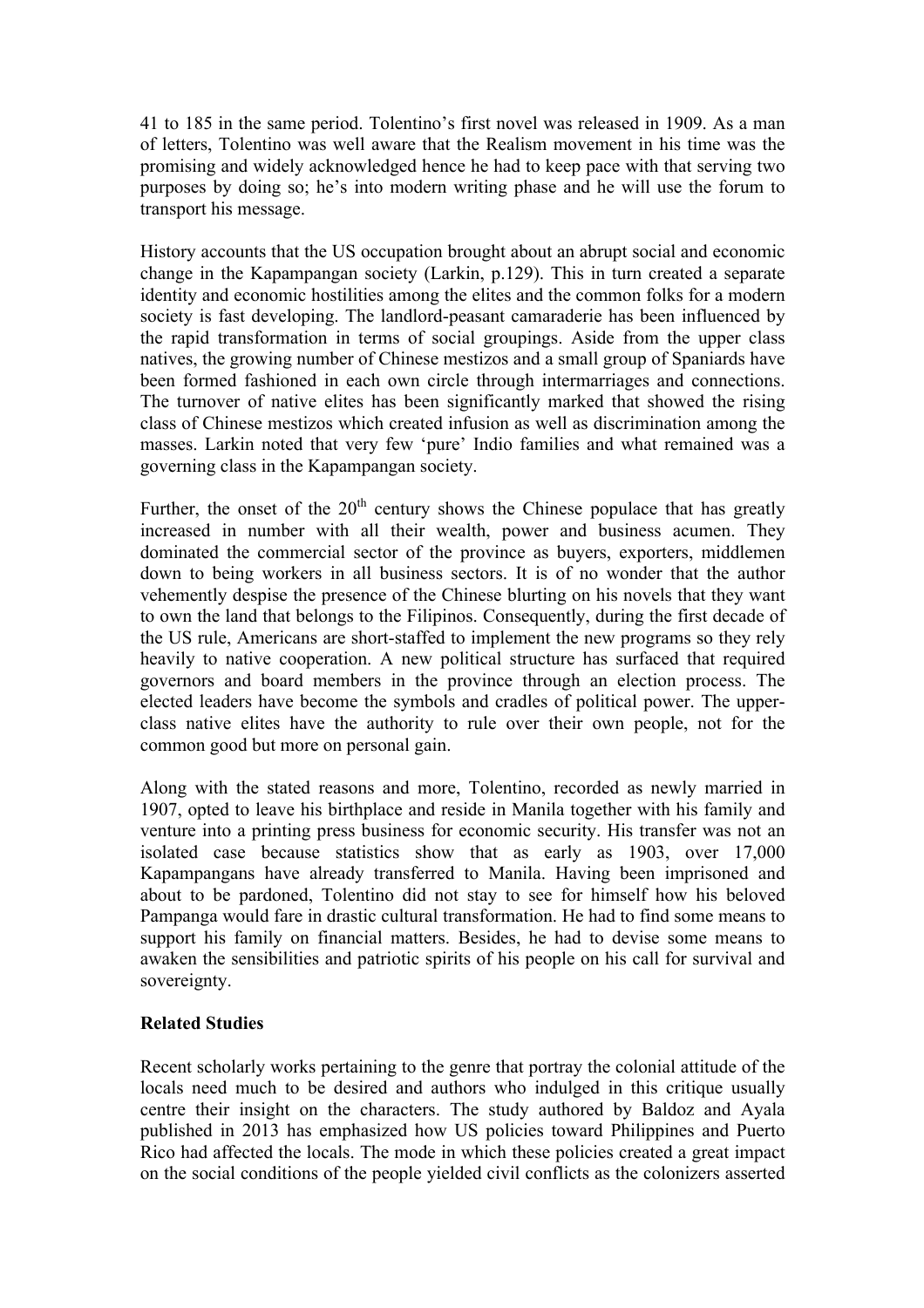41 to 185 in the same period. Tolentino's first novel was released in 1909. As a man of letters, Tolentino was well aware that the Realism movement in his time was the promising and widely acknowledged hence he had to keep pace with that serving two purposes by doing so; he's into modern writing phase and he will use the forum to transport his message.

History accounts that the US occupation brought about an abrupt social and economic change in the Kapampangan society (Larkin, p.129). This in turn created a separate identity and economic hostilities among the elites and the common folks for a modern society is fast developing. The landlord-peasant camaraderie has been influenced by the rapid transformation in terms of social groupings. Aside from the upper class natives, the growing number of Chinese mestizos and a small group of Spaniards have been formed fashioned in each own circle through intermarriages and connections. The turnover of native elites has been significantly marked that showed the rising class of Chinese mestizos which created infusion as well as discrimination among the masses. Larkin noted that very few 'pure' Indio families and what remained was a governing class in the Kapampangan society.

Further, the onset of the  $20<sup>th</sup>$  century shows the Chinese populace that has greatly increased in number with all their wealth, power and business acumen. They dominated the commercial sector of the province as buyers, exporters, middlemen down to being workers in all business sectors. It is of no wonder that the author vehemently despise the presence of the Chinese blurting on his novels that they want to own the land that belongs to the Filipinos. Consequently, during the first decade of the US rule, Americans are short-staffed to implement the new programs so they rely heavily to native cooperation. A new political structure has surfaced that required governors and board members in the province through an election process. The elected leaders have become the symbols and cradles of political power. The upperclass native elites have the authority to rule over their own people, not for the common good but more on personal gain.

Along with the stated reasons and more, Tolentino, recorded as newly married in 1907, opted to leave his birthplace and reside in Manila together with his family and venture into a printing press business for economic security. His transfer was not an isolated case because statistics show that as early as 1903, over 17,000 Kapampangans have already transferred to Manila. Having been imprisoned and about to be pardoned, Tolentino did not stay to see for himself how his beloved Pampanga would fare in drastic cultural transformation. He had to find some means to support his family on financial matters. Besides, he had to devise some means to awaken the sensibilities and patriotic spirits of his people on his call for survival and sovereignty.

## **Related Studies**

Recent scholarly works pertaining to the genre that portray the colonial attitude of the locals need much to be desired and authors who indulged in this critique usually centre their insight on the characters. The study authored by Baldoz and Ayala published in 2013 has emphasized how US policies toward Philippines and Puerto Rico had affected the locals. The mode in which these policies created a great impact on the social conditions of the people yielded civil conflicts as the colonizers asserted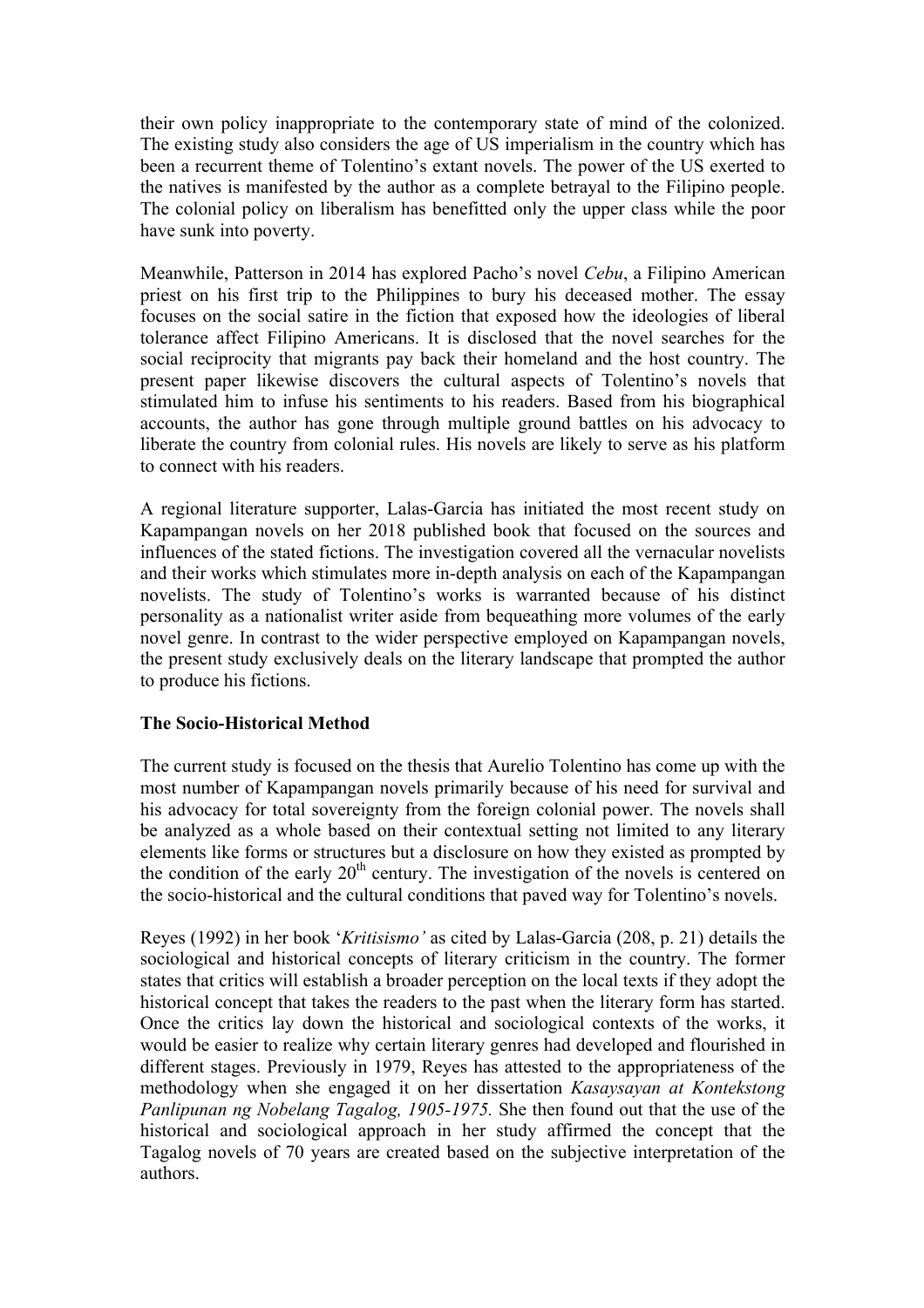their own policy inappropriate to the contemporary state of mind of the colonized. The existing study also considers the age of US imperialism in the country which has been a recurrent theme of Tolentino's extant novels. The power of the US exerted to the natives is manifested by the author as a complete betrayal to the Filipino people. The colonial policy on liberalism has benefitted only the upper class while the poor have sunk into poverty.

Meanwhile, Patterson in 2014 has explored Pacho's novel *Cebu*, a Filipino American priest on his first trip to the Philippines to bury his deceased mother. The essay focuses on the social satire in the fiction that exposed how the ideologies of liberal tolerance affect Filipino Americans. It is disclosed that the novel searches for the social reciprocity that migrants pay back their homeland and the host country. The present paper likewise discovers the cultural aspects of Tolentino's novels that stimulated him to infuse his sentiments to his readers. Based from his biographical accounts, the author has gone through multiple ground battles on his advocacy to liberate the country from colonial rules. His novels are likely to serve as his platform to connect with his readers.

A regional literature supporter, Lalas-Garcia has initiated the most recent study on Kapampangan novels on her 2018 published book that focused on the sources and influences of the stated fictions. The investigation covered all the vernacular novelists and their works which stimulates more in-depth analysis on each of the Kapampangan novelists. The study of Tolentino's works is warranted because of his distinct personality as a nationalist writer aside from bequeathing more volumes of the early novel genre. In contrast to the wider perspective employed on Kapampangan novels, the present study exclusively deals on the literary landscape that prompted the author to produce his fictions.

## **The Socio-Historical Method**

The current study is focused on the thesis that Aurelio Tolentino has come up with the most number of Kapampangan novels primarily because of his need for survival and his advocacy for total sovereignty from the foreign colonial power. The novels shall be analyzed as a whole based on their contextual setting not limited to any literary elements like forms or structures but a disclosure on how they existed as prompted by the condition of the early  $20<sup>th</sup>$  century. The investigation of the novels is centered on the socio-historical and the cultural conditions that paved way for Tolentino's novels.

Reyes (1992) in her book '*Kritisismo'* as cited by Lalas-Garcia (208, p. 21) details the sociological and historical concepts of literary criticism in the country. The former states that critics will establish a broader perception on the local texts if they adopt the historical concept that takes the readers to the past when the literary form has started. Once the critics lay down the historical and sociological contexts of the works, it would be easier to realize why certain literary genres had developed and flourished in different stages. Previously in 1979, Reyes has attested to the appropriateness of the methodology when she engaged it on her dissertation *Kasaysayan at Kontekstong Panlipunan ng Nobelang Tagalog, 1905-1975.* She then found out that the use of the historical and sociological approach in her study affirmed the concept that the Tagalog novels of 70 years are created based on the subjective interpretation of the authors.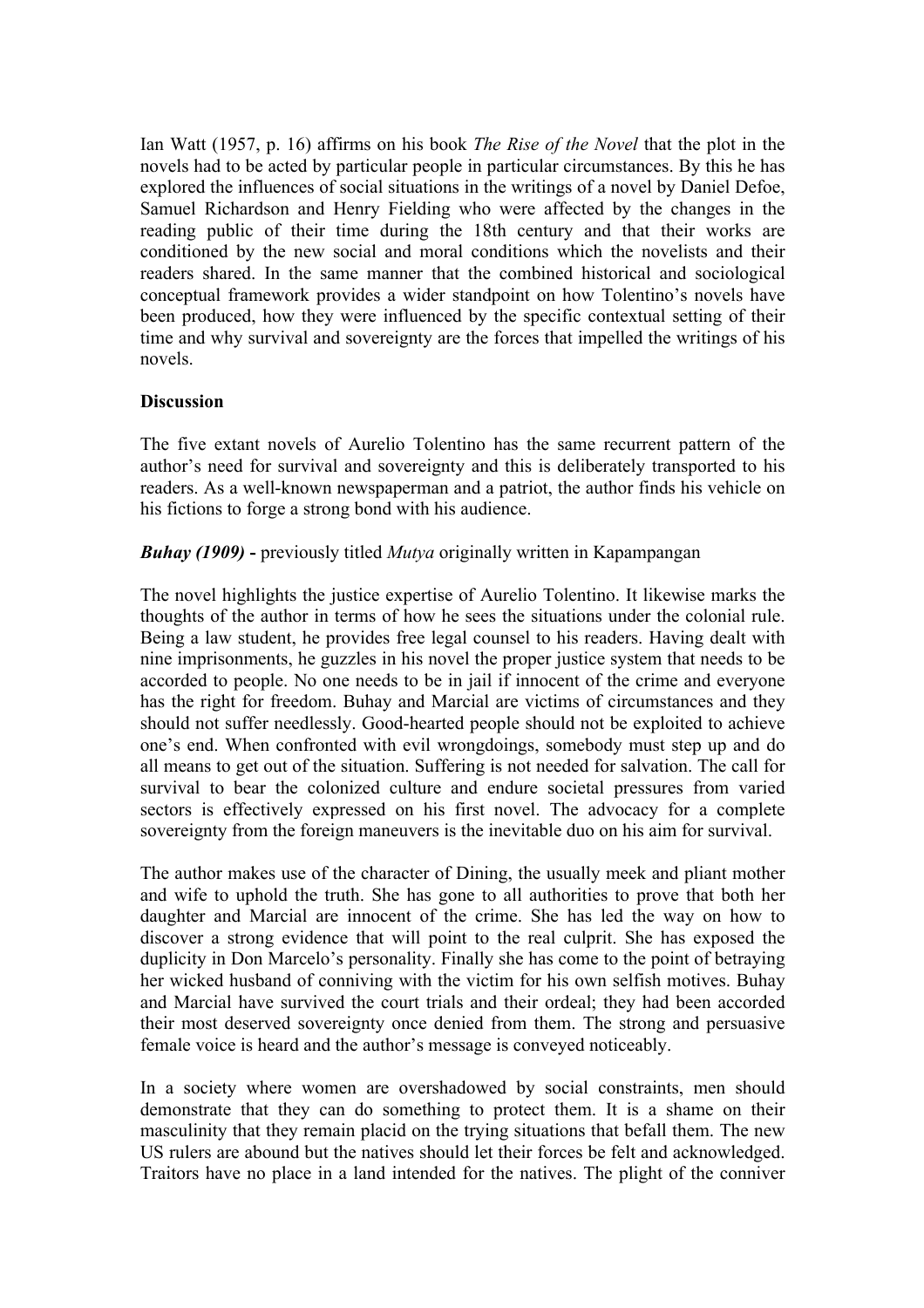Ian Watt (1957, p. 16) affirms on his book *The Rise of the Novel* that the plot in the novels had to be acted by particular people in particular circumstances. By this he has explored the influences of social situations in the writings of a novel by Daniel Defoe, Samuel Richardson and Henry Fielding who were affected by the changes in the reading public of their time during the 18th century and that their works are conditioned by the new social and moral conditions which the novelists and their readers shared. In the same manner that the combined historical and sociological conceptual framework provides a wider standpoint on how Tolentino's novels have been produced, how they were influenced by the specific contextual setting of their time and why survival and sovereignty are the forces that impelled the writings of his novels.

#### **Discussion**

The five extant novels of Aurelio Tolentino has the same recurrent pattern of the author's need for survival and sovereignty and this is deliberately transported to his readers. As a well-known newspaperman and a patriot, the author finds his vehicle on his fictions to forge a strong bond with his audience.

*Buhay (1909)* **-** previously titled *Mutya* originally written in Kapampangan

The novel highlights the justice expertise of Aurelio Tolentino. It likewise marks the thoughts of the author in terms of how he sees the situations under the colonial rule. Being a law student, he provides free legal counsel to his readers. Having dealt with nine imprisonments, he guzzles in his novel the proper justice system that needs to be accorded to people. No one needs to be in jail if innocent of the crime and everyone has the right for freedom. Buhay and Marcial are victims of circumstances and they should not suffer needlessly. Good-hearted people should not be exploited to achieve one's end. When confronted with evil wrongdoings, somebody must step up and do all means to get out of the situation. Suffering is not needed for salvation. The call for survival to bear the colonized culture and endure societal pressures from varied sectors is effectively expressed on his first novel. The advocacy for a complete sovereignty from the foreign maneuvers is the inevitable duo on his aim for survival.

The author makes use of the character of Dining, the usually meek and pliant mother and wife to uphold the truth. She has gone to all authorities to prove that both her daughter and Marcial are innocent of the crime. She has led the way on how to discover a strong evidence that will point to the real culprit. She has exposed the duplicity in Don Marcelo's personality. Finally she has come to the point of betraying her wicked husband of conniving with the victim for his own selfish motives. Buhay and Marcial have survived the court trials and their ordeal; they had been accorded their most deserved sovereignty once denied from them. The strong and persuasive female voice is heard and the author's message is conveyed noticeably.

In a society where women are overshadowed by social constraints, men should demonstrate that they can do something to protect them. It is a shame on their masculinity that they remain placid on the trying situations that befall them. The new US rulers are abound but the natives should let their forces be felt and acknowledged. Traitors have no place in a land intended for the natives. The plight of the conniver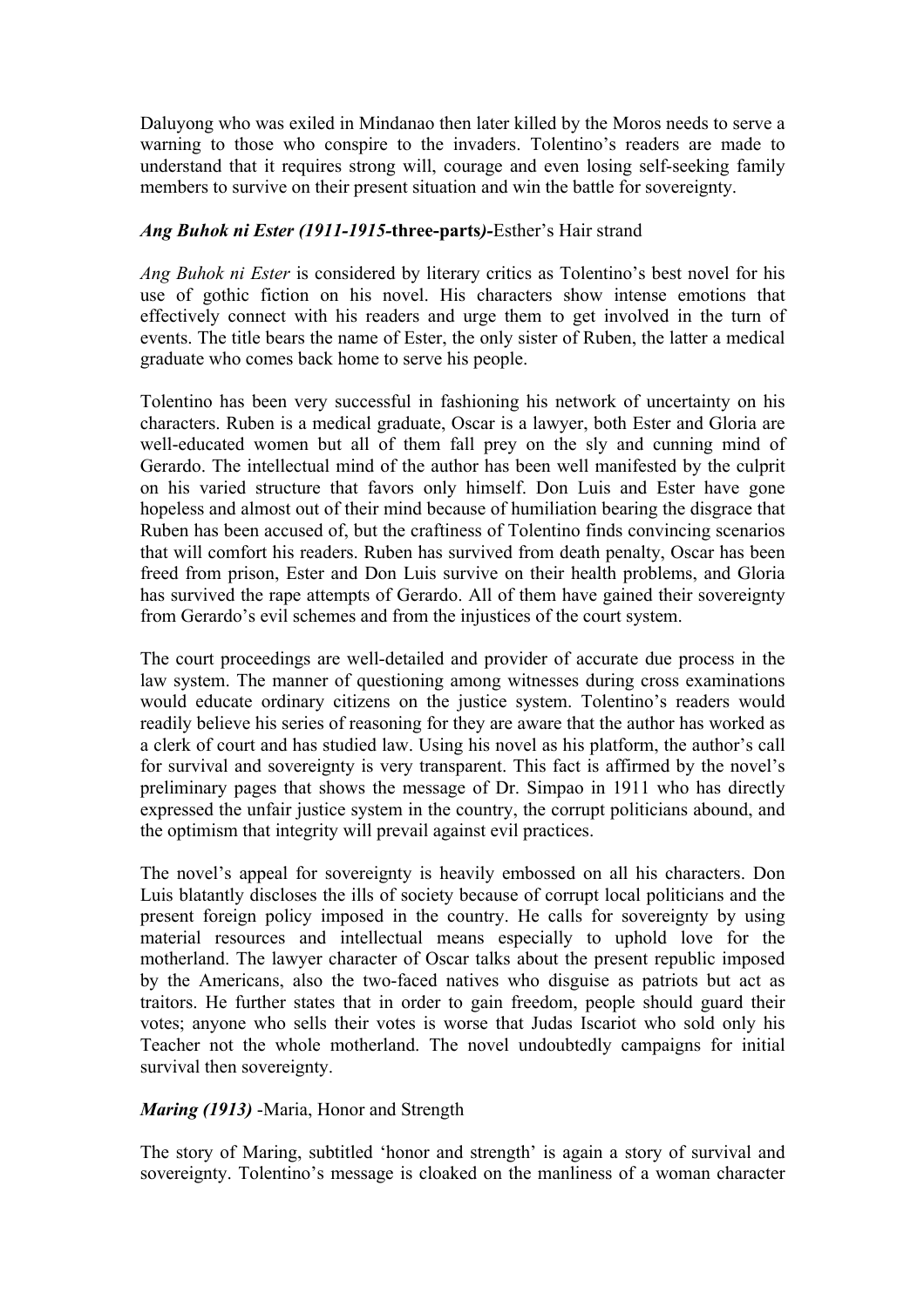Daluyong who was exiled in Mindanao then later killed by the Moros needs to serve a warning to those who conspire to the invaders. Tolentino's readers are made to understand that it requires strong will, courage and even losing self-seeking family members to survive on their present situation and win the battle for sovereignty.

### *Ang Buhok ni Ester (1911-1915-***three-parts***)-*Esther's Hair strand

*Ang Buhok ni Ester* is considered by literary critics as Tolentino's best novel for his use of gothic fiction on his novel. His characters show intense emotions that effectively connect with his readers and urge them to get involved in the turn of events. The title bears the name of Ester, the only sister of Ruben, the latter a medical graduate who comes back home to serve his people.

Tolentino has been very successful in fashioning his network of uncertainty on his characters. Ruben is a medical graduate, Oscar is a lawyer, both Ester and Gloria are well-educated women but all of them fall prey on the sly and cunning mind of Gerardo. The intellectual mind of the author has been well manifested by the culprit on his varied structure that favors only himself. Don Luis and Ester have gone hopeless and almost out of their mind because of humiliation bearing the disgrace that Ruben has been accused of, but the craftiness of Tolentino finds convincing scenarios that will comfort his readers. Ruben has survived from death penalty, Oscar has been freed from prison, Ester and Don Luis survive on their health problems, and Gloria has survived the rape attempts of Gerardo. All of them have gained their sovereignty from Gerardo's evil schemes and from the injustices of the court system.

The court proceedings are well-detailed and provider of accurate due process in the law system. The manner of questioning among witnesses during cross examinations would educate ordinary citizens on the justice system. Tolentino's readers would readily believe his series of reasoning for they are aware that the author has worked as a clerk of court and has studied law. Using his novel as his platform, the author's call for survival and sovereignty is very transparent. This fact is affirmed by the novel's preliminary pages that shows the message of Dr. Simpao in 1911 who has directly expressed the unfair justice system in the country, the corrupt politicians abound, and the optimism that integrity will prevail against evil practices.

The novel's appeal for sovereignty is heavily embossed on all his characters. Don Luis blatantly discloses the ills of society because of corrupt local politicians and the present foreign policy imposed in the country. He calls for sovereignty by using material resources and intellectual means especially to uphold love for the motherland. The lawyer character of Oscar talks about the present republic imposed by the Americans, also the two-faced natives who disguise as patriots but act as traitors. He further states that in order to gain freedom, people should guard their votes; anyone who sells their votes is worse that Judas Iscariot who sold only his Teacher not the whole motherland. The novel undoubtedly campaigns for initial survival then sovereignty.

#### *Maring (1913)* -Maria, Honor and Strength

The story of Maring, subtitled 'honor and strength' is again a story of survival and sovereignty. Tolentino's message is cloaked on the manliness of a woman character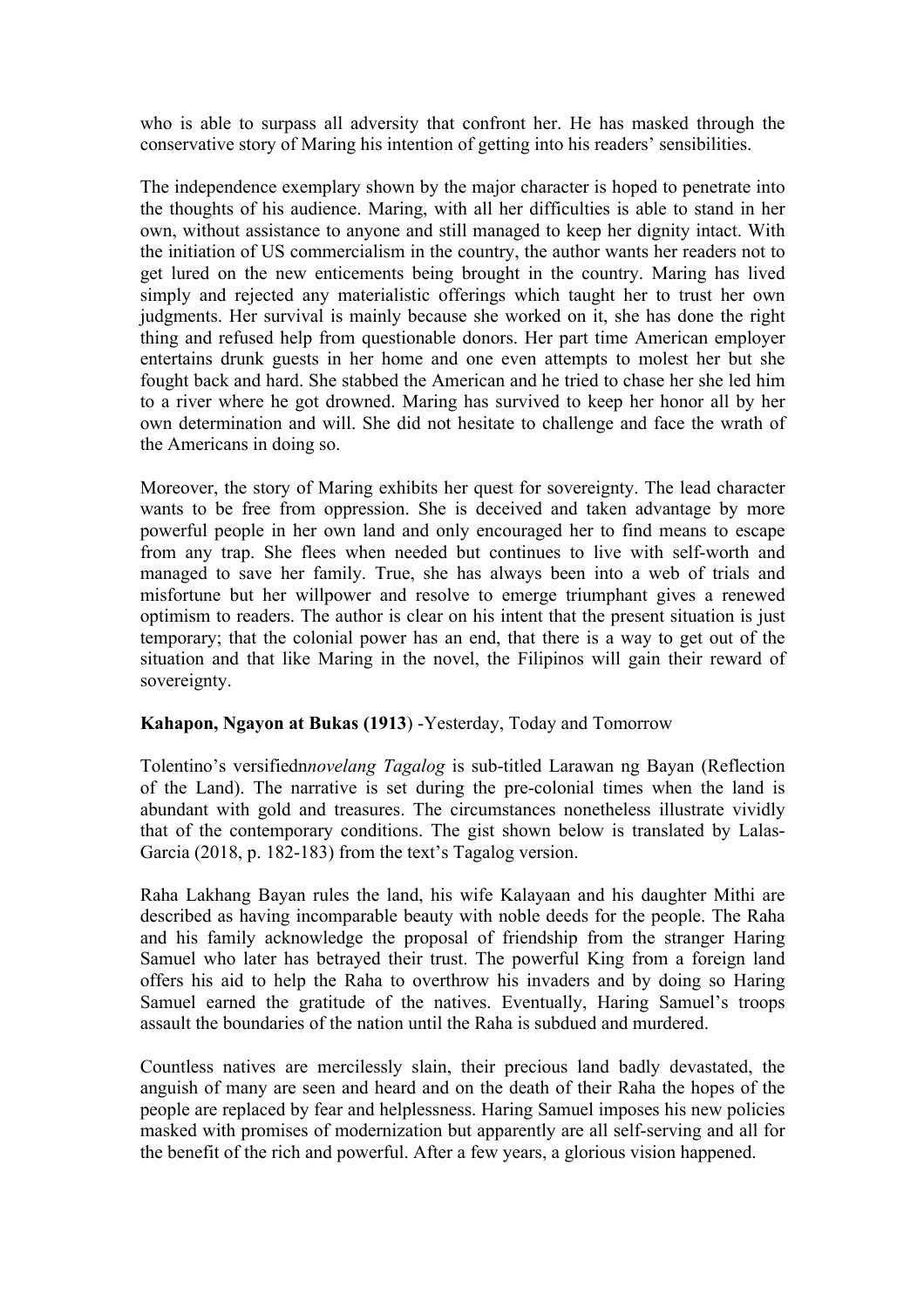who is able to surpass all adversity that confront her. He has masked through the conservative story of Maring his intention of getting into his readers' sensibilities.

The independence exemplary shown by the major character is hoped to penetrate into the thoughts of his audience. Maring, with all her difficulties is able to stand in her own, without assistance to anyone and still managed to keep her dignity intact. With the initiation of US commercialism in the country, the author wants her readers not to get lured on the new enticements being brought in the country. Maring has lived simply and rejected any materialistic offerings which taught her to trust her own judgments. Her survival is mainly because she worked on it, she has done the right thing and refused help from questionable donors. Her part time American employer entertains drunk guests in her home and one even attempts to molest her but she fought back and hard. She stabbed the American and he tried to chase her she led him to a river where he got drowned. Maring has survived to keep her honor all by her own determination and will. She did not hesitate to challenge and face the wrath of the Americans in doing so.

Moreover, the story of Maring exhibits her quest for sovereignty. The lead character wants to be free from oppression. She is deceived and taken advantage by more powerful people in her own land and only encouraged her to find means to escape from any trap. She flees when needed but continues to live with self-worth and managed to save her family. True, she has always been into a web of trials and misfortune but her willpower and resolve to emerge triumphant gives a renewed optimism to readers. The author is clear on his intent that the present situation is just temporary; that the colonial power has an end, that there is a way to get out of the situation and that like Maring in the novel, the Filipinos will gain their reward of sovereignty.

#### **Kahapon, Ngayon at Bukas (1913**) -Yesterday, Today and Tomorrow

Tolentino's versifiedn*novelang Tagalog* is sub-titled Larawan ng Bayan (Reflection of the Land). The narrative is set during the pre-colonial times when the land is abundant with gold and treasures. The circumstances nonetheless illustrate vividly that of the contemporary conditions. The gist shown below is translated by Lalas-Garcia (2018, p. 182-183) from the text's Tagalog version.

Raha Lakhang Bayan rules the land, his wife Kalayaan and his daughter Mithi are described as having incomparable beauty with noble deeds for the people. The Raha and his family acknowledge the proposal of friendship from the stranger Haring Samuel who later has betrayed their trust. The powerful King from a foreign land offers his aid to help the Raha to overthrow his invaders and by doing so Haring Samuel earned the gratitude of the natives. Eventually, Haring Samuel's troops assault the boundaries of the nation until the Raha is subdued and murdered.

Countless natives are mercilessly slain, their precious land badly devastated, the anguish of many are seen and heard and on the death of their Raha the hopes of the people are replaced by fear and helplessness. Haring Samuel imposes his new policies masked with promises of modernization but apparently are all self-serving and all for the benefit of the rich and powerful. After a few years, a glorious vision happened.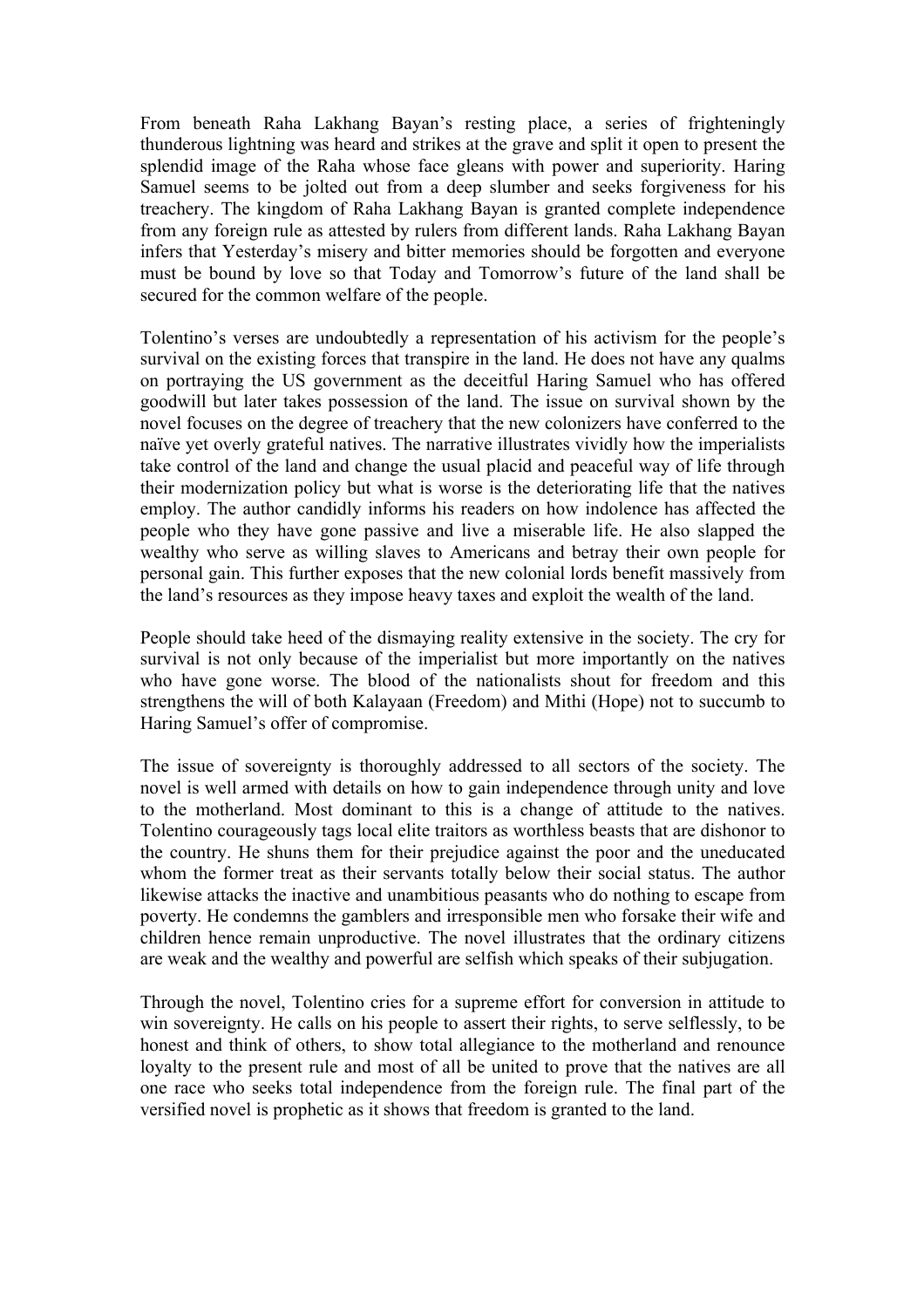From beneath Raha Lakhang Bayan's resting place, a series of frighteningly thunderous lightning was heard and strikes at the grave and split it open to present the splendid image of the Raha whose face gleans with power and superiority. Haring Samuel seems to be jolted out from a deep slumber and seeks forgiveness for his treachery. The kingdom of Raha Lakhang Bayan is granted complete independence from any foreign rule as attested by rulers from different lands. Raha Lakhang Bayan infers that Yesterday's misery and bitter memories should be forgotten and everyone must be bound by love so that Today and Tomorrow's future of the land shall be secured for the common welfare of the people.

Tolentino's verses are undoubtedly a representation of his activism for the people's survival on the existing forces that transpire in the land. He does not have any qualms on portraying the US government as the deceitful Haring Samuel who has offered goodwill but later takes possession of the land. The issue on survival shown by the novel focuses on the degree of treachery that the new colonizers have conferred to the naïve yet overly grateful natives. The narrative illustrates vividly how the imperialists take control of the land and change the usual placid and peaceful way of life through their modernization policy but what is worse is the deteriorating life that the natives employ. The author candidly informs his readers on how indolence has affected the people who they have gone passive and live a miserable life. He also slapped the wealthy who serve as willing slaves to Americans and betray their own people for personal gain. This further exposes that the new colonial lords benefit massively from the land's resources as they impose heavy taxes and exploit the wealth of the land.

People should take heed of the dismaying reality extensive in the society. The cry for survival is not only because of the imperialist but more importantly on the natives who have gone worse. The blood of the nationalists shout for freedom and this strengthens the will of both Kalayaan (Freedom) and Mithi (Hope) not to succumb to Haring Samuel's offer of compromise.

The issue of sovereignty is thoroughly addressed to all sectors of the society. The novel is well armed with details on how to gain independence through unity and love to the motherland. Most dominant to this is a change of attitude to the natives. Tolentino courageously tags local elite traitors as worthless beasts that are dishonor to the country. He shuns them for their prejudice against the poor and the uneducated whom the former treat as their servants totally below their social status. The author likewise attacks the inactive and unambitious peasants who do nothing to escape from poverty. He condemns the gamblers and irresponsible men who forsake their wife and children hence remain unproductive. The novel illustrates that the ordinary citizens are weak and the wealthy and powerful are selfish which speaks of their subjugation.

Through the novel, Tolentino cries for a supreme effort for conversion in attitude to win sovereignty. He calls on his people to assert their rights, to serve selflessly, to be honest and think of others, to show total allegiance to the motherland and renounce loyalty to the present rule and most of all be united to prove that the natives are all one race who seeks total independence from the foreign rule. The final part of the versified novel is prophetic as it shows that freedom is granted to the land.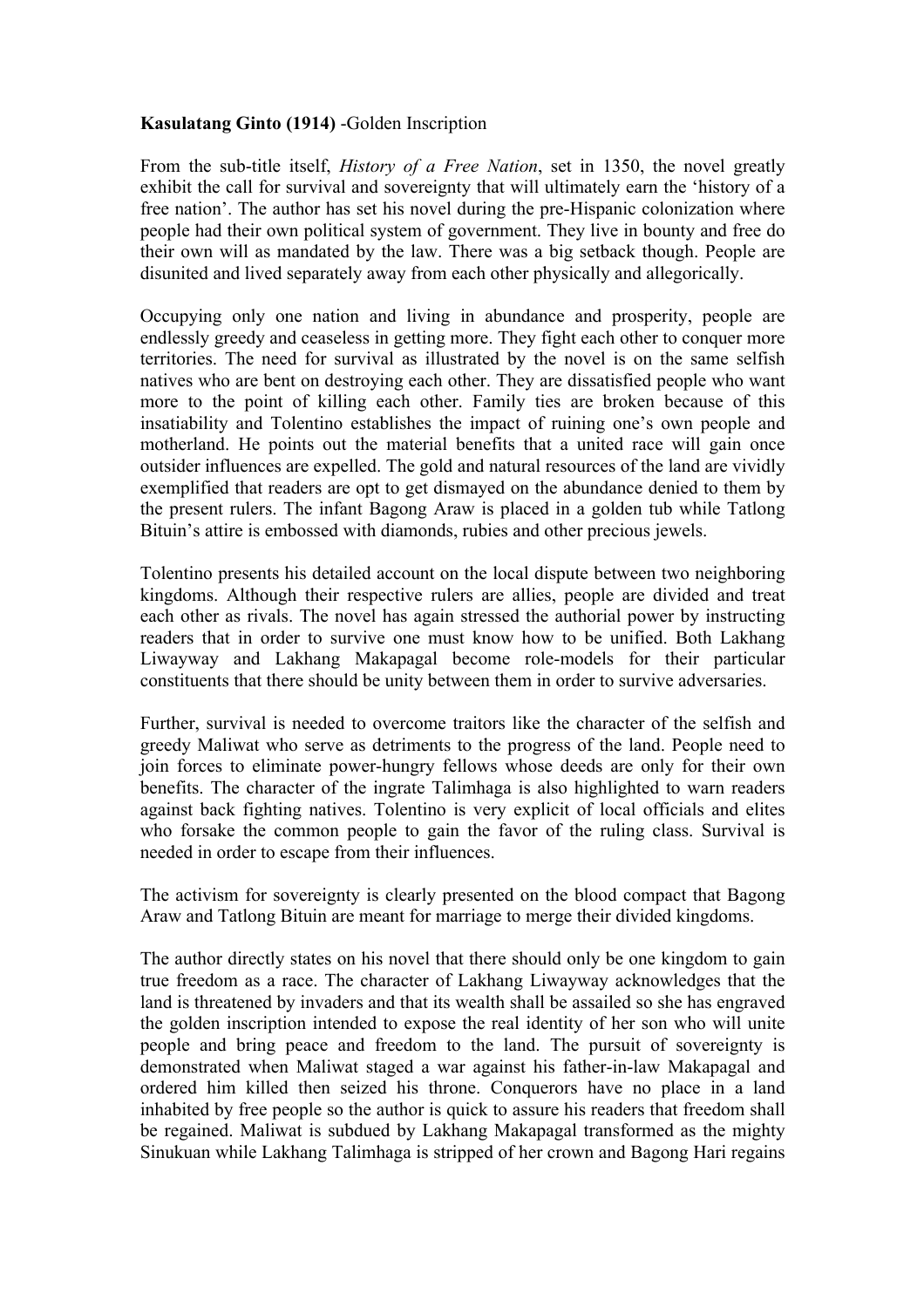## **Kasulatang Ginto (1914)** -Golden Inscription

From the sub-title itself, *History of a Free Nation*, set in 1350, the novel greatly exhibit the call for survival and sovereignty that will ultimately earn the 'history of a free nation'. The author has set his novel during the pre-Hispanic colonization where people had their own political system of government. They live in bounty and free do their own will as mandated by the law. There was a big setback though. People are disunited and lived separately away from each other physically and allegorically.

Occupying only one nation and living in abundance and prosperity, people are endlessly greedy and ceaseless in getting more. They fight each other to conquer more territories. The need for survival as illustrated by the novel is on the same selfish natives who are bent on destroying each other. They are dissatisfied people who want more to the point of killing each other. Family ties are broken because of this insatiability and Tolentino establishes the impact of ruining one's own people and motherland. He points out the material benefits that a united race will gain once outsider influences are expelled. The gold and natural resources of the land are vividly exemplified that readers are opt to get dismayed on the abundance denied to them by the present rulers. The infant Bagong Araw is placed in a golden tub while Tatlong Bituin's attire is embossed with diamonds, rubies and other precious jewels.

Tolentino presents his detailed account on the local dispute between two neighboring kingdoms. Although their respective rulers are allies, people are divided and treat each other as rivals. The novel has again stressed the authorial power by instructing readers that in order to survive one must know how to be unified. Both Lakhang Liwayway and Lakhang Makapagal become role-models for their particular constituents that there should be unity between them in order to survive adversaries.

Further, survival is needed to overcome traitors like the character of the selfish and greedy Maliwat who serve as detriments to the progress of the land. People need to join forces to eliminate power-hungry fellows whose deeds are only for their own benefits. The character of the ingrate Talimhaga is also highlighted to warn readers against back fighting natives. Tolentino is very explicit of local officials and elites who forsake the common people to gain the favor of the ruling class. Survival is needed in order to escape from their influences.

The activism for sovereignty is clearly presented on the blood compact that Bagong Araw and Tatlong Bituin are meant for marriage to merge their divided kingdoms.

The author directly states on his novel that there should only be one kingdom to gain true freedom as a race. The character of Lakhang Liwayway acknowledges that the land is threatened by invaders and that its wealth shall be assailed so she has engraved the golden inscription intended to expose the real identity of her son who will unite people and bring peace and freedom to the land. The pursuit of sovereignty is demonstrated when Maliwat staged a war against his father-in-law Makapagal and ordered him killed then seized his throne. Conquerors have no place in a land inhabited by free people so the author is quick to assure his readers that freedom shall be regained. Maliwat is subdued by Lakhang Makapagal transformed as the mighty Sinukuan while Lakhang Talimhaga is stripped of her crown and Bagong Hari regains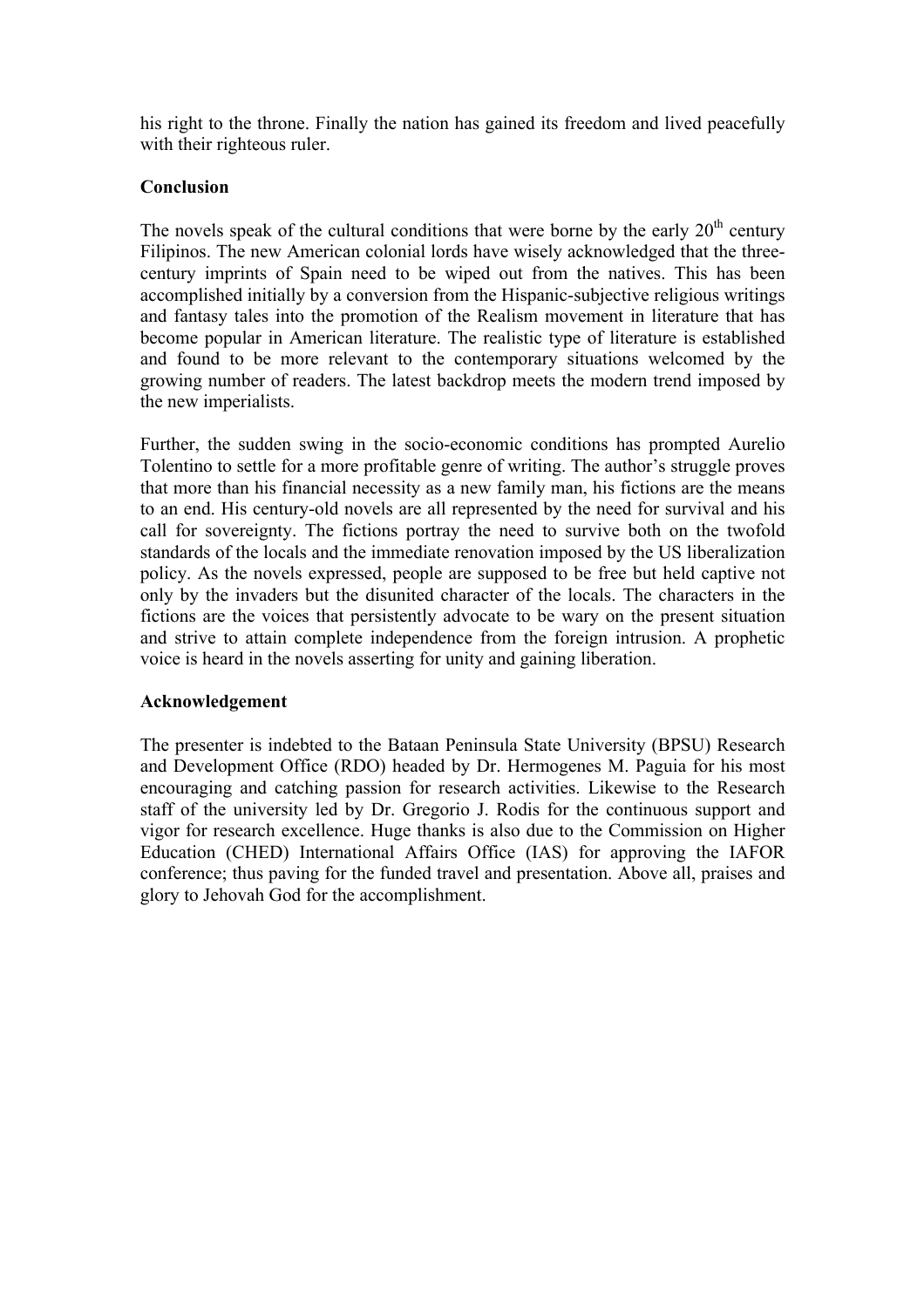his right to the throne. Finally the nation has gained its freedom and lived peacefully with their righteous ruler.

## **Conclusion**

The novels speak of the cultural conditions that were borne by the early  $20<sup>th</sup>$  century Filipinos. The new American colonial lords have wisely acknowledged that the threecentury imprints of Spain need to be wiped out from the natives. This has been accomplished initially by a conversion from the Hispanic-subjective religious writings and fantasy tales into the promotion of the Realism movement in literature that has become popular in American literature. The realistic type of literature is established and found to be more relevant to the contemporary situations welcomed by the growing number of readers. The latest backdrop meets the modern trend imposed by the new imperialists.

Further, the sudden swing in the socio-economic conditions has prompted Aurelio Tolentino to settle for a more profitable genre of writing. The author's struggle proves that more than his financial necessity as a new family man, his fictions are the means to an end. His century-old novels are all represented by the need for survival and his call for sovereignty. The fictions portray the need to survive both on the twofold standards of the locals and the immediate renovation imposed by the US liberalization policy. As the novels expressed, people are supposed to be free but held captive not only by the invaders but the disunited character of the locals. The characters in the fictions are the voices that persistently advocate to be wary on the present situation and strive to attain complete independence from the foreign intrusion. A prophetic voice is heard in the novels asserting for unity and gaining liberation.

## **Acknowledgement**

The presenter is indebted to the Bataan Peninsula State University (BPSU) Research and Development Office (RDO) headed by Dr. Hermogenes M. Paguia for his most encouraging and catching passion for research activities. Likewise to the Research staff of the university led by Dr. Gregorio J. Rodis for the continuous support and vigor for research excellence. Huge thanks is also due to the Commission on Higher Education (CHED) International Affairs Office (IAS) for approving the IAFOR conference; thus paving for the funded travel and presentation. Above all, praises and glory to Jehovah God for the accomplishment.